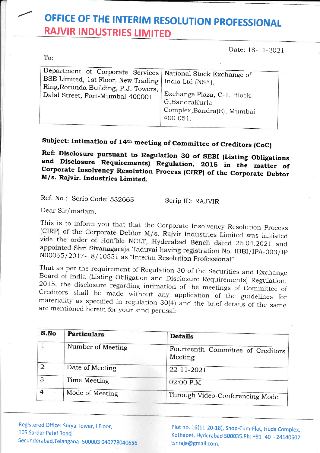## OFFICE OF THE INTERIM RESOLUTION PROFESSIONAL **RAJVIR INDUSTRIES LIMITED**

Date: 18-11-2021

|  | Department of Corporate Services National Stock Exchange of<br>BSE Limited, 1st Floor, New Trading   India Ltd (NSE),<br>Ring, Rotunda Building, P.J. Towers,<br>Dalal Street, Fort-Mumbai-400001 | Exchange Plaza, C-1, Block<br>G,BandraKurla<br>Complex, Bandra(E), Mumbai -<br>400 051. |
|--|---------------------------------------------------------------------------------------------------------------------------------------------------------------------------------------------------|-----------------------------------------------------------------------------------------|
|--|---------------------------------------------------------------------------------------------------------------------------------------------------------------------------------------------------|-----------------------------------------------------------------------------------------|

## Subject: Intimation of 14th meeting of Committee of Creditors (CoC)

Ref: Disclosure pursuant to Regulation 30 of SEBI (Listing Obligations and Disclosure Requirements) Regulation, 2015 in the matter of Corporate Insolvency Resolution Process (CIRP) of the Corporate Debtor M/s. Rajvir. Industries Limited.

Ref. No.: Scrip Code: 532665

Scrip ID: RAJVIR

Dear Sir/madam.

To:

This is to inform you that that the Corporate Insolvency Resolution Process (CIRP) of the Corporate Debtor M/s. Rajvir Industries Limited was initiated vide the order of Hon'ble NCLT, Hyderabad Bench dated 26.04.2021 and appointed Shri Sivanagaraja Taduvai having registration No. IBBI/IPA-003/IP N00065/2017-18/10551 as "Interim Resolution Professional".

That as per the requirement of Regulation 30 of the Securities and Exchange Board of India (Listing Obligation and Disclosure Requirements) Regulation, 2015, the disclosure regarding intimation of the meetings of Committee of Creditors shall be made without any application of the guidelines for materiality as specified in regulation 30(4) and the brief details of the same are mentioned herein for your kind perusal:

| S.No           | <b>Particulars</b> | <b>Details</b>                               |
|----------------|--------------------|----------------------------------------------|
|                | Number of Meeting  | Fourteenth Committee of Creditors<br>Meeting |
| $\overline{2}$ | Date of Meeting    | 22-11-2021                                   |
| 3              | Time Meeting       | 02:00 P.M                                    |
|                | Mode of Meeting    | Through Video-Conferencing Mode              |

Registered Office: Surya Tower, I Floor, 105 Sardar Patel Road Secunderabad, Telangana - 500003 040278040656

Plot no. 16(11-20-18), Shop-Cum-Flat, Huda Complex, Kothapet, Hyderabad 500035.Ph: +91-40 - 24140607. tsnraja@gmail.com.